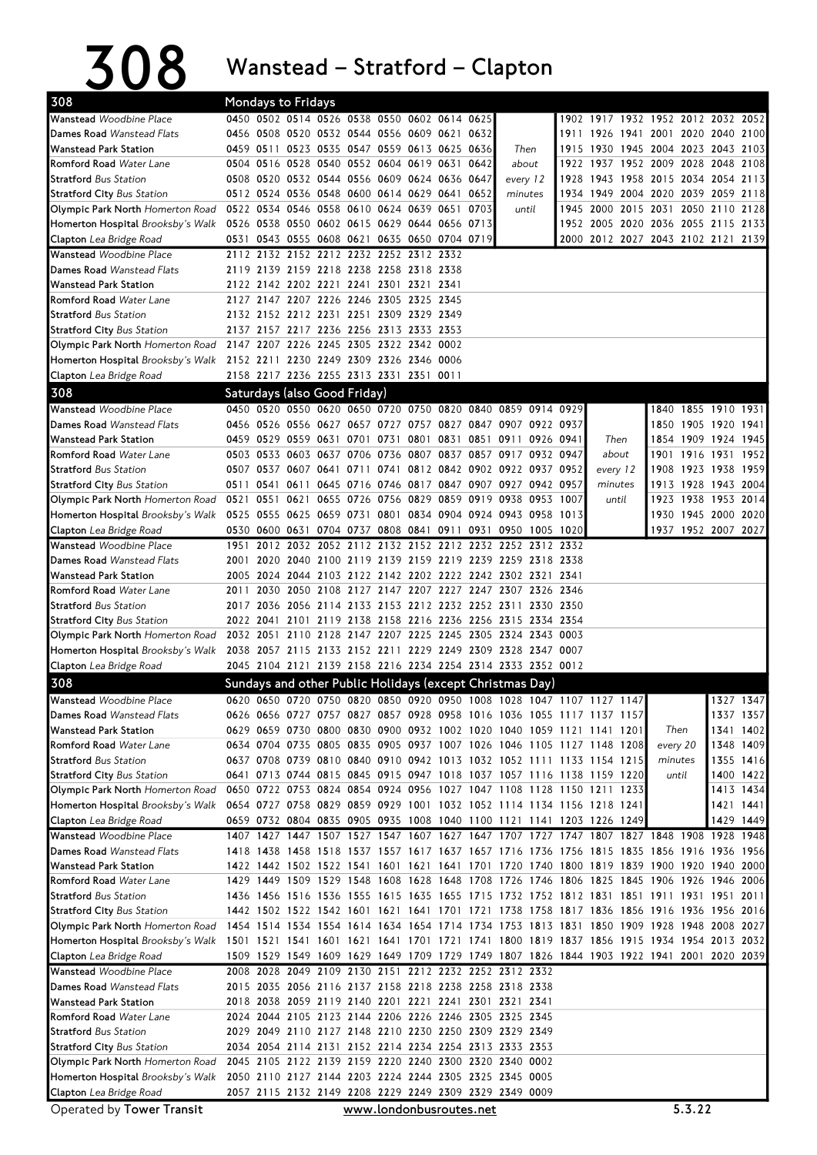## 308 Wanstead – Stratford – Clapton

| 308                                                                   |                         |  | <b>Mondays to Fridays</b> |  |                                                                                    |  |  |  |  |                                                                                                                                                                                        |        |          |       |                                    |                     |  |           |
|-----------------------------------------------------------------------|-------------------------|--|---------------------------|--|------------------------------------------------------------------------------------|--|--|--|--|----------------------------------------------------------------------------------------------------------------------------------------------------------------------------------------|--------|----------|-------|------------------------------------|---------------------|--|-----------|
| Wanstead Woodbine Place                                               |                         |  |                           |  | 0450 0502 0514 0526 0538 0550 0602 0614 0625                                       |  |  |  |  |                                                                                                                                                                                        |        |          |       | 1902 1917 1932 1952 2012 2032 2052 |                     |  |           |
| Dames Road Wanstead Flats                                             |                         |  |                           |  | 0456 0508 0520 0532 0544 0556 0609 0621 0632                                       |  |  |  |  |                                                                                                                                                                                        |        |          |       | 1911 1926 1941 2001 2020 2040 2100 |                     |  |           |
| <b>Wanstead Park Station</b>                                          |                         |  |                           |  | 0459 0511 0523 0535 0547 0559 0613 0625 0636                                       |  |  |  |  | Then                                                                                                                                                                                   | 1915   |          |       | 1930 1945 2004 2023 2043 2103      |                     |  |           |
| Romford Road Water Lane                                               |                         |  |                           |  | 0504 0516 0528 0540 0552 0604 0619 0631 0642                                       |  |  |  |  | about                                                                                                                                                                                  |        |          |       | 1922 1937 1952 2009 2028 2048 2108 |                     |  |           |
| <b>Stratford</b> Bus Station                                          |                         |  |                           |  | 0508 0520 0532 0544 0556 0609 0624 0636 0647                                       |  |  |  |  | every 12                                                                                                                                                                               |        |          |       | 1928 1943 1958 2015 2034 2054 2113 |                     |  |           |
| <b>Stratford City Bus Station</b>                                     |                         |  |                           |  | 0512 0524 0536 0548 0600 0614 0629 0641 0652                                       |  |  |  |  | minutes                                                                                                                                                                                |        |          |       | 1934 1949 2004 2020 2039 2059 2118 |                     |  |           |
| Olympic Park North Homerton Road                                      |                         |  |                           |  | 0522 0534 0546 0558 0610 0624 0639 0651 0703                                       |  |  |  |  | until                                                                                                                                                                                  |        |          |       | 1945 2000 2015 2031 2050 2110 2128 |                     |  |           |
| <b>Homerton Hospital</b> Brooksby's Walk                              |                         |  |                           |  | 0526 0538 0550 0602 0615 0629 0644 0656 0713                                       |  |  |  |  |                                                                                                                                                                                        |        |          |       | 1952 2005 2020 2036 2055 2115 2133 |                     |  |           |
| Clapton Lea Bridge Road                                               |                         |  |                           |  | 0531 0543 0555 0608 0621 0635 0650 0704 0719                                       |  |  |  |  |                                                                                                                                                                                        |        |          |       | 2000 2012 2027 2043 2102 2121 2139 |                     |  |           |
| Wanstead Woodbine Place                                               | 2112                    |  |                           |  | 2132 2152 2212 2232 2252 2312 2332                                                 |  |  |  |  |                                                                                                                                                                                        |        |          |       |                                    |                     |  |           |
| Dames Road Wanstead Flats                                             |                         |  |                           |  | 2119 2139 2159 2218 2238 2258 2318 2338                                            |  |  |  |  |                                                                                                                                                                                        |        |          |       |                                    |                     |  |           |
| <b>Wanstead Park Station</b><br>Romford Road Water Lane               |                         |  |                           |  | 2122 2142 2202 2221 2241 2301 2321 2341<br>2127 2147 2207 2226 2246 2305 2325 2345 |  |  |  |  |                                                                                                                                                                                        |        |          |       |                                    |                     |  |           |
| <b>Stratford</b> Bus Station                                          |                         |  |                           |  | 2132 2152 2212 2231 2251 2309 2329 2349                                            |  |  |  |  |                                                                                                                                                                                        |        |          |       |                                    |                     |  |           |
| <b>Stratford City Bus Station</b>                                     |                         |  |                           |  | 2137 2157 2217 2236 2256 2313 2333 2353                                            |  |  |  |  |                                                                                                                                                                                        |        |          |       |                                    |                     |  |           |
| Olympic Park North Homerton Road                                      |                         |  |                           |  | 2147 2207 2226 2245 2305 2322 2342 0002                                            |  |  |  |  |                                                                                                                                                                                        |        |          |       |                                    |                     |  |           |
| Homerton Hospital Brooksby's Walk                                     |                         |  |                           |  | 2152 2211 2230 2249 2309 2326 2346 0006                                            |  |  |  |  |                                                                                                                                                                                        |        |          |       |                                    |                     |  |           |
| Clapton Lea Bridge Road                                               |                         |  |                           |  | 2158 2217 2236 2255 2313 2331 2351 0011                                            |  |  |  |  |                                                                                                                                                                                        |        |          |       |                                    |                     |  |           |
| 308                                                                   |                         |  |                           |  | Saturdays (also Good Friday)                                                       |  |  |  |  |                                                                                                                                                                                        |        |          |       |                                    |                     |  |           |
| Wanstead Woodbine Place                                               |                         |  |                           |  |                                                                                    |  |  |  |  | 0450 0520 0550 0620 0650 0720 0750 0820 0840 0859 0914 0929                                                                                                                            |        |          |       |                                    | 1840 1855 1910 1931 |  |           |
| Dames Road Wanstead Flats                                             |                         |  |                           |  |                                                                                    |  |  |  |  | 0456 0526 0556 0627 0657 0727 0757 0827 0847 0907 0922 0937                                                                                                                            |        |          |       |                                    | 1850 1905 1920 1941 |  |           |
| <b>Wanstead Park Station</b>                                          |                         |  |                           |  | 0459 0529 0559 0631 0701 0731 0801 0831 0851                                       |  |  |  |  | 0911 0926 0941                                                                                                                                                                         |        |          | Then  |                                    | 1854 1909 1924 1945 |  |           |
| Romford Road Water Lane                                               |                         |  |                           |  |                                                                                    |  |  |  |  | 0503 0533 0603 0637 0706 0736 0807 0837 0857 0917 0932 0947                                                                                                                            |        | about    |       |                                    | 1901 1916 1931      |  | 1952      |
| <b>Stratford</b> Bus Station                                          |                         |  |                           |  |                                                                                    |  |  |  |  | 0507 0537 0607 0641 0711 0741 0812 0842 0902 0922 0937 0952                                                                                                                            |        | every 12 |       |                                    | 1908 1923 1938 1959 |  |           |
| <b>Stratford City Bus Station</b>                                     |                         |  |                           |  |                                                                                    |  |  |  |  | 0511 0541 0611 0645 0716 0746 0817 0847 0907 0927 0942 0957                                                                                                                            |        | minutes  |       |                                    | 1913 1928 1943 2004 |  |           |
| Olympic Park North Homerton Road                                      |                         |  |                           |  |                                                                                    |  |  |  |  | 0521 0551 0621 0655 0726 0756 0829 0859 0919 0938 0953 1007                                                                                                                            |        |          | until |                                    | 1923 1938 1953 2014 |  |           |
| Homerton Hospital Brooksby's Walk                                     |                         |  |                           |  |                                                                                    |  |  |  |  | 0525 0555 0625 0659 0731 0801 0834 0904 0924 0943 0958 1013                                                                                                                            |        |          |       |                                    | 1930 1945 2000 2020 |  |           |
| Clapton Lea Bridge Road                                               |                         |  |                           |  |                                                                                    |  |  |  |  | 0530 0600 0631 0704 0737 0808 0841 0911 0931 0950 1005 1020                                                                                                                            |        |          |       |                                    | 1937 1952 2007 2027 |  |           |
| Wanstead Woodbine Place                                               |                         |  |                           |  |                                                                                    |  |  |  |  | 1951 2012 2032 2052 2112 2132 2152 2212 2232 2252 2312 2332                                                                                                                            |        |          |       |                                    |                     |  |           |
| Dames Road Wanstead Flats                                             | 2001                    |  |                           |  |                                                                                    |  |  |  |  | 2020 2040 2100 2119 2139 2159 2219 2239 2259 2318 2338                                                                                                                                 |        |          |       |                                    |                     |  |           |
| <b>Wanstead Park Station</b>                                          |                         |  |                           |  |                                                                                    |  |  |  |  | 2005 2024 2044 2103 2122 2142 2202 2222 2242 2302 2321 2341                                                                                                                            |        |          |       |                                    |                     |  |           |
| Romford Road Water Lane                                               |                         |  |                           |  |                                                                                    |  |  |  |  | 2011 2030 2050 2108 2127 2147 2207 2227 2247 2307 2326 2346                                                                                                                            |        |          |       |                                    |                     |  |           |
| <b>Stratford</b> Bus Station                                          |                         |  |                           |  |                                                                                    |  |  |  |  | 2017 2036 2056 2114 2133 2153 2212 2232 2252 2311 2330 2350<br>2022 2041 2101 2119 2138 2158 2216 2236 2256 2315 2334 2354                                                             |        |          |       |                                    |                     |  |           |
| <b>Stratford City Bus Station</b><br>Olympic Park North Homerton Road |                         |  |                           |  |                                                                                    |  |  |  |  | 2032 2051 2110 2128 2147 2207 2225 2245 2305 2324 2343 0003                                                                                                                            |        |          |       |                                    |                     |  |           |
| Homerton Hospital Brooksby's Walk                                     |                         |  |                           |  |                                                                                    |  |  |  |  | 2038 2057 2115 2133 2152 2211 2229 2249 2309 2328 2347 0007                                                                                                                            |        |          |       |                                    |                     |  |           |
| Clapton Lea Bridge Road                                               |                         |  |                           |  |                                                                                    |  |  |  |  | 2045 2104 2121 2139 2158 2216 2234 2254 2314 2333 2352 0012                                                                                                                            |        |          |       |                                    |                     |  |           |
| 308                                                                   |                         |  |                           |  |                                                                                    |  |  |  |  | Sundays and other Public Holidays (except Christmas Day)                                                                                                                               |        |          |       |                                    |                     |  |           |
| <b>Wanstead</b> Woodbine Place                                        |                         |  |                           |  |                                                                                    |  |  |  |  | 0620 0650 0720 0750 0820 0850 0920 0950 1008 1028 1047 1107 1127 1147                                                                                                                  |        |          |       |                                    |                     |  | 1327 1347 |
| Dames Road Wanstead Flats                                             |                         |  |                           |  |                                                                                    |  |  |  |  | 0626 0656 0727 0757 0827 0857 0928 0958 1016 1036 1055 1117 1137 1157                                                                                                                  |        |          |       |                                    |                     |  | 1337 1357 |
| <b>Wanstead Park Station</b>                                          |                         |  |                           |  |                                                                                    |  |  |  |  | 0629 0659 0730 0800 0830 0900 0932 1002 1020 1040 1059 1121 1141 1201                                                                                                                  |        |          |       | Then                               |                     |  | 1341 1402 |
| Romford Road Water Lane                                               |                         |  |                           |  |                                                                                    |  |  |  |  | 0634 0704 0735 0805 0835 0905 0937 1007 1026 1046 1105 1127 1148 1208                                                                                                                  |        |          |       | every 20                           |                     |  | 1348 1409 |
| <b>Stratford Bus Station</b>                                          |                         |  |                           |  |                                                                                    |  |  |  |  | 0637 0708 0739 0810 0840 0910 0942 1013 1032 1052 1111 1133 1154 1215                                                                                                                  |        |          |       | minutes                            |                     |  | 1355 1416 |
| <b>Stratford City Bus Station</b>                                     |                         |  |                           |  |                                                                                    |  |  |  |  | 0641 0713 0744 0815 0845 0915 0947 1018 1037 1057 1116 1138 1159 1220                                                                                                                  |        |          |       | until                              |                     |  | 1400 1422 |
| Olympic Park North Homerton Road                                      |                         |  |                           |  |                                                                                    |  |  |  |  | 0650 0722 0753 0824 0854 0924 0956 1027 1047 1108 1128 1150 1211 1233                                                                                                                  |        |          |       |                                    |                     |  | 1413 1434 |
| Homerton Hospital Brooksby's Walk                                     |                         |  |                           |  |                                                                                    |  |  |  |  | 0654 0727 0758 0829 0859 0929 1001 1032 1052 1114 1134 1156 1218 1241                                                                                                                  |        |          |       |                                    |                     |  | 1421 1441 |
| Clapton Lea Bridge Road                                               |                         |  |                           |  |                                                                                    |  |  |  |  | 0659 0732 0804 0835 0905 0935 1008 1040 1100 1121 1141 1203 1226 1249                                                                                                                  |        |          |       |                                    |                     |  | 1429 1449 |
| Wanstead Woodbine Place                                               |                         |  |                           |  |                                                                                    |  |  |  |  | 1407 1427 1447 1507 1527 1547 1607 1627 1647 1707 1727 1747 1807 1827 1848 1908 1928 1948                                                                                              |        |          |       |                                    |                     |  |           |
| Dames Road Wanstead Flats                                             |                         |  |                           |  |                                                                                    |  |  |  |  | 1418 1438 1458 1518 1537 1557 1617 1637 1657 1716 1736 1756 1815 1835 1856 1916 1936 1956                                                                                              |        |          |       |                                    |                     |  |           |
| <b>Wanstead Park Station</b>                                          |                         |  |                           |  |                                                                                    |  |  |  |  | 1422 1442 1502 1522 1541 1601 1621 1641 1701 1720 1740 1800 1819 1839 1900 1920 1940 2000                                                                                              |        |          |       |                                    |                     |  |           |
| Romford Road Water Lane                                               |                         |  |                           |  |                                                                                    |  |  |  |  | 1429 1449 1509 1529 1548 1608 1628 1648 1708 1726 1746 1806 1825 1845 1906 1926 1946 2006                                                                                              |        |          |       |                                    |                     |  |           |
| <b>Stratford Bus Station</b>                                          |                         |  |                           |  |                                                                                    |  |  |  |  | 1436 1456 1516 1536 1555 1615 1635 1655 1715 1732 1752 1812 1831 1851 1911 1931 1951 2011                                                                                              |        |          |       |                                    |                     |  |           |
| <b>Stratford City Bus Station</b>                                     |                         |  |                           |  |                                                                                    |  |  |  |  | 1442 1502 1522 1542 1601 1621 1641 1701 1721 1738 1758 1817 1836 1856 1916 1936 1956 2016                                                                                              |        |          |       |                                    |                     |  |           |
| Olympic Park North Homerton Road                                      |                         |  |                           |  |                                                                                    |  |  |  |  | 1454 1514 1534 1554 1614 1634 1654 1714 1734 1753 1813 1831 1850 1909 1928 1948 2008 2027<br>1501 1521 1541 1601 1621 1641 1701 1721 1741 1800 1819 1837 1856 1915 1934 1954 2013 2032 |        |          |       |                                    |                     |  |           |
| Homerton Hospital Brooksby's Walk                                     |                         |  |                           |  |                                                                                    |  |  |  |  |                                                                                                                                                                                        |        |          |       |                                    |                     |  |           |
| Clapton Lea Bridge Road<br>Wanstead Woodbine Place                    |                         |  |                           |  |                                                                                    |  |  |  |  | 1509 1529 1549 1609 1629 1649 1709 1729 1749 1807 1826 1844 1903 1922 1941 2001 2020 2039<br>2008 2028 2049 2109 2130 2151 2212 2232 2252 2312 2332                                    |        |          |       |                                    |                     |  |           |
| Dames Road Wanstead Flats                                             |                         |  |                           |  |                                                                                    |  |  |  |  | 2015 2035 2056 2116 2137 2158 2218 2238 2258 2318 2338                                                                                                                                 |        |          |       |                                    |                     |  |           |
| Wanstead Park Station                                                 |                         |  |                           |  |                                                                                    |  |  |  |  | 2018 2038 2059 2119 2140 2201 2221 2241 2301 2321 2341                                                                                                                                 |        |          |       |                                    |                     |  |           |
| Romford Road Water Lane                                               |                         |  |                           |  |                                                                                    |  |  |  |  | 2024 2044 2105 2123 2144 2206 2226 2246 2305 2325 2345                                                                                                                                 |        |          |       |                                    |                     |  |           |
| <b>Stratford Bus Station</b>                                          |                         |  |                           |  |                                                                                    |  |  |  |  | 2029 2049 2110 2127 2148 2210 2230 2250 2309 2329 2349                                                                                                                                 |        |          |       |                                    |                     |  |           |
| <b>Stratford City Bus Station</b>                                     |                         |  |                           |  |                                                                                    |  |  |  |  | 2034 2054 2114 2131 2152 2214 2234 2254 2313 2333 2353                                                                                                                                 |        |          |       |                                    |                     |  |           |
| Olympic Park North Homerton Road                                      |                         |  |                           |  |                                                                                    |  |  |  |  | 2045 2105 2122 2139 2159 2220 2240 2300 2320 2340 0002                                                                                                                                 |        |          |       |                                    |                     |  |           |
| Homerton Hospital Brooksby's Walk                                     |                         |  |                           |  |                                                                                    |  |  |  |  | 2050 2110 2127 2144 2203 2224 2244 2305 2325 2345 0005                                                                                                                                 |        |          |       |                                    |                     |  |           |
| Clapton Lea Bridge Road                                               |                         |  |                           |  |                                                                                    |  |  |  |  | 2057 2115 2132 2149 2208 2229 2249 2309 2329 2349 0009                                                                                                                                 |        |          |       |                                    |                     |  |           |
| Operated by Tower Transit                                             | www.londonbusroutes.net |  |                           |  |                                                                                    |  |  |  |  |                                                                                                                                                                                        | 5.3.22 |          |       |                                    |                     |  |           |